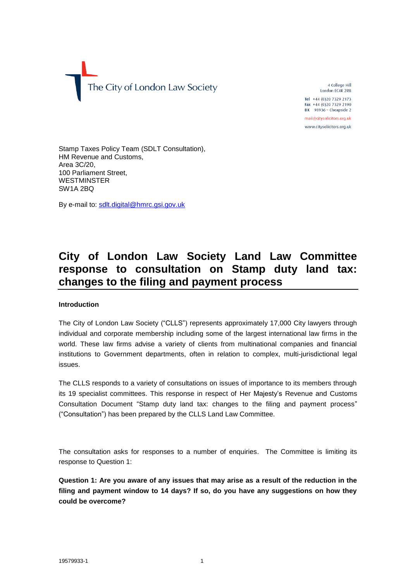

4 College Hill London EC4R 2RB Tel +44 (0)20 7329 2173 Fax +44 (0)20 7329 2190

 $DX$  98936 - Cheapside 2 mail@citysolicitors.org.uk

www.citysolicitors.org.uk

Stamp Taxes Policy Team (SDLT Consultation), HM Revenue and Customs, Area 3C/20, 100 Parliament Street, **WESTMINSTER** SW1A 2BQ

By e-mail to: [sdlt.digital@hmrc.gsi.gov.uk](mailto:sdlt.digital@hmrc.gsi.gov.uk)

# **City of London Law Society Land Law Committee response to consultation on Stamp duty land tax: changes to the filing and payment process**

## **Introduction**

The City of London Law Society ("CLLS") represents approximately 17,000 City lawyers through individual and corporate membership including some of the largest international law firms in the world. These law firms advise a variety of clients from multinational companies and financial institutions to Government departments, often in relation to complex, multi-jurisdictional legal issues.

The CLLS responds to a variety of consultations on issues of importance to its members through its 19 specialist committees. This response in respect of Her Majesty's Revenue and Customs Consultation Document "Stamp duty land tax: changes to the filing and payment process" ("Consultation") has been prepared by the CLLS Land Law Committee.

The consultation asks for responses to a number of enquiries. The Committee is limiting its response to Question 1:

**Question 1: Are you aware of any issues that may arise as a result of the reduction in the filing and payment window to 14 days? If so, do you have any suggestions on how they could be overcome?**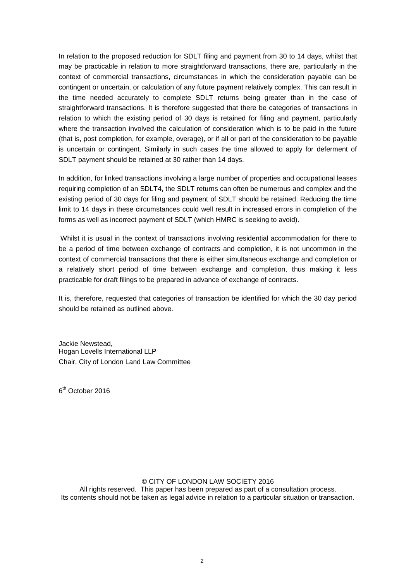In relation to the proposed reduction for SDLT filing and payment from 30 to 14 days, whilst that may be practicable in relation to more straightforward transactions, there are, particularly in the context of commercial transactions, circumstances in which the consideration payable can be contingent or uncertain, or calculation of any future payment relatively complex. This can result in the time needed accurately to complete SDLT returns being greater than in the case of straightforward transactions. It is therefore suggested that there be categories of transactions in relation to which the existing period of 30 days is retained for filing and payment, particularly where the transaction involved the calculation of consideration which is to be paid in the future (that is, post completion, for example, overage), or if all or part of the consideration to be payable is uncertain or contingent. Similarly in such cases the time allowed to apply for deferment of SDLT payment should be retained at 30 rather than 14 days.

In addition, for linked transactions involving a large number of properties and occupational leases requiring completion of an SDLT4, the SDLT returns can often be numerous and complex and the existing period of 30 days for filing and payment of SDLT should be retained. Reducing the time limit to 14 days in these circumstances could well result in increased errors in completion of the forms as well as incorrect payment of SDLT (which HMRC is seeking to avoid).

Whilst it is usual in the context of transactions involving residential accommodation for there to be a period of time between exchange of contracts and completion, it is not uncommon in the context of commercial transactions that there is either simultaneous exchange and completion or a relatively short period of time between exchange and completion, thus making it less practicable for draft filings to be prepared in advance of exchange of contracts.

It is, therefore, requested that categories of transaction be identified for which the 30 day period should be retained as outlined above.

Jackie Newstead, Hogan Lovells International LLP Chair, City of London Land Law Committee

6<sup>th</sup> October 2016

## © CITY OF LONDON LAW SOCIETY 2016

All rights reserved. This paper has been prepared as part of a consultation process. Its contents should not be taken as legal advice in relation to a particular situation or transaction.